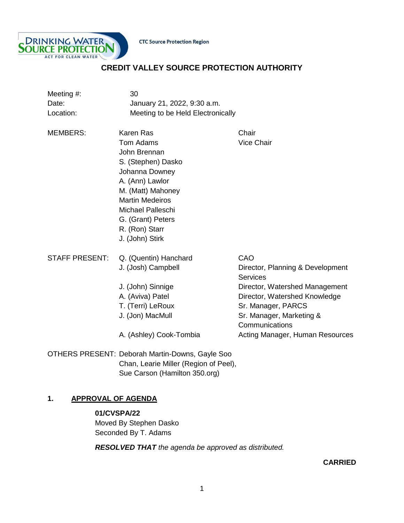



# **CREDIT VALLEY SOURCE PROTECTION AUTHORITY**

| Meeting #:<br>Date:<br>Location: | 30<br>January 21, 2022, 9:30 a.m.<br>Meeting to be Held Electronically                                                                                                                                                                        |                                                                                                                                                                                                                                      |
|----------------------------------|-----------------------------------------------------------------------------------------------------------------------------------------------------------------------------------------------------------------------------------------------|--------------------------------------------------------------------------------------------------------------------------------------------------------------------------------------------------------------------------------------|
| <b>MEMBERS:</b>                  | <b>Karen Ras</b><br>Tom Adams<br>John Brennan<br>S. (Stephen) Dasko<br>Johanna Downey<br>A. (Ann) Lawlor<br>M. (Matt) Mahoney<br><b>Martin Medeiros</b><br><b>Michael Palleschi</b><br>G. (Grant) Peters<br>R. (Ron) Starr<br>J. (John) Stirk | Chair<br><b>Vice Chair</b>                                                                                                                                                                                                           |
| <b>STAFF PRESENT:</b>            | Q. (Quentin) Hanchard<br>J. (Josh) Campbell<br>J. (John) Sinnige<br>A. (Aviva) Patel<br>T. (Terri) LeRoux<br>J. (Jon) MacMull<br>A. (Ashley) Cook-Tombia                                                                                      | CAO<br>Director, Planning & Development<br><b>Services</b><br>Director, Watershed Management<br>Director, Watershed Knowledge<br>Sr. Manager, PARCS<br>Sr. Manager, Marketing &<br>Communications<br>Acting Manager, Human Resources |
|                                  | <b>OTHERS PRESENT: Deborah Martin-Downs, Gayle Soo</b><br>Chan, Learie Miller (Region of Peel),                                                                                                                                               |                                                                                                                                                                                                                                      |

# **1. APPROVAL OF AGENDA**

**01/CVSPA/22** Moved By Stephen Dasko Seconded By T. Adams

*RESOLVED THAT the agenda be approved as distributed.* 

Sue Carson (Hamilton 350.org)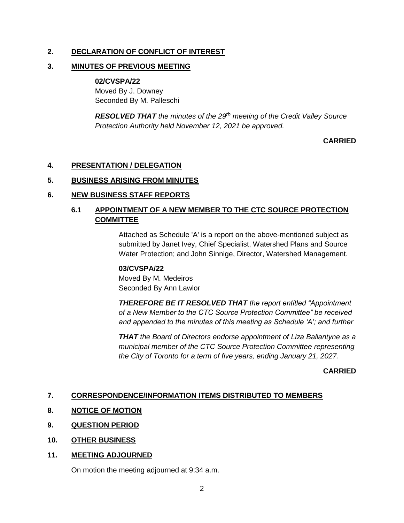## **2. DECLARATION OF CONFLICT OF INTEREST**

#### **3. MINUTES OF PREVIOUS MEETING**

#### **02/CVSPA/22**

Moved By J. Downey Seconded By M. Palleschi

*RESOLVED THAT the minutes of the 29th meeting of the Credit Valley Source Protection Authority held November 12, 2021 be approved.*

## **CARRIED**

## **4. PRESENTATION / DELEGATION**

#### **5. BUSINESS ARISING FROM MINUTES**

#### **6. NEW BUSINESS STAFF REPORTS**

## **6.1 APPOINTMENT OF A NEW MEMBER TO THE CTC SOURCE PROTECTION COMMITTEE**

Attached as Schedule 'A' is a report on the above-mentioned subject as submitted by Janet Ivey, Chief Specialist, Watershed Plans and Source Water Protection; and John Sinnige, Director, Watershed Management.

## **03/CVSPA/22**

Moved By M. Medeiros Seconded By Ann Lawlor

*THEREFORE BE IT RESOLVED THAT the report entitled "Appointment of a New Member to the CTC Source Protection Committee" be received and appended to the minutes of this meeting as Schedule 'A'; and further* 

*THAT the Board of Directors endorse appointment of Liza Ballantyne as a municipal member of the CTC Source Protection Committee representing the City of Toronto for a term of five years, ending January 21, 2027.* 

#### **CARRIED**

## **7. CORRESPONDENCE/INFORMATION ITEMS DISTRIBUTED TO MEMBERS**

- **8. NOTICE OF MOTION**
- **9. QUESTION PERIOD**
- **10. OTHER BUSINESS**

## **11. MEETING ADJOURNED**

On motion the meeting adjourned at 9:34 a.m.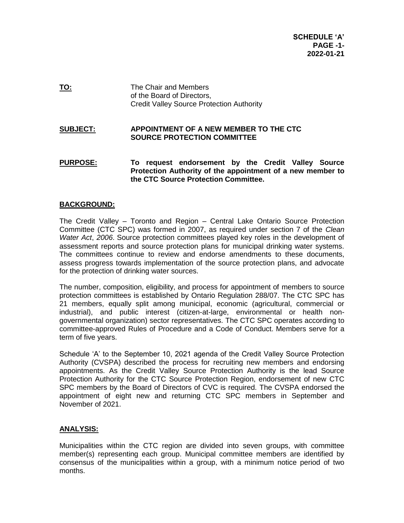**TO:** The Chair and Members of the Board of Directors, Credit Valley Source Protection Authority

#### **SUBJECT: APPOINTMENT OF A NEW MEMBER TO THE CTC SOURCE PROTECTION COMMITTEE**

**PURPOSE: To request endorsement by the Credit Valley Source Protection Authority of the appointment of a new member to the CTC Source Protection Committee.**

#### **BACKGROUND:**

The Credit Valley – Toronto and Region – Central Lake Ontario Source Protection Committee (CTC SPC) was formed in 2007, as required under section 7 of the *Clean Water Act*, *2006*. Source protection committees played key roles in the development of assessment reports and source protection plans for municipal drinking water systems. The committees continue to review and endorse amendments to these documents, assess progress towards implementation of the source protection plans, and advocate for the protection of drinking water sources.

The number, composition, eligibility, and process for appointment of members to source protection committees is established by Ontario Regulation 288/07. The CTC SPC has 21 members, equally split among municipal, economic (agricultural, commercial or industrial), and public interest (citizen-at-large, environmental or health nongovernmental organization) sector representatives. The CTC SPC operates according to committee-approved Rules of Procedure and a Code of Conduct. Members serve for a term of five years.

Schedule 'A' to the September 10, 2021 agenda of the Credit Valley Source Protection Authority (CVSPA) described the process for recruiting new members and endorsing appointments. As the Credit Valley Source Protection Authority is the lead Source Protection Authority for the CTC Source Protection Region, endorsement of new CTC SPC members by the Board of Directors of CVC is required. The CVSPA endorsed the appointment of eight new and returning CTC SPC members in September and November of 2021.

#### **ANALYSIS:**

Municipalities within the CTC region are divided into seven groups, with committee member(s) representing each group. Municipal committee members are identified by consensus of the municipalities within a group, with a minimum notice period of two months.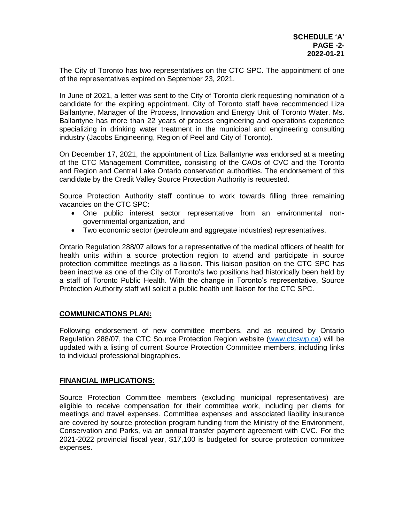The City of Toronto has two representatives on the CTC SPC. The appointment of one of the representatives expired on September 23, 2021.

In June of 2021, a letter was sent to the City of Toronto clerk requesting nomination of a candidate for the expiring appointment. City of Toronto staff have recommended Liza Ballantyne, Manager of the Process, Innovation and Energy Unit of Toronto Water. Ms. Ballantyne has more than 22 years of process engineering and operations experience specializing in drinking water treatment in the municipal and engineering consulting industry (Jacobs Engineering, Region of Peel and City of Toronto).

On December 17, 2021, the appointment of Liza Ballantyne was endorsed at a meeting of the CTC Management Committee, consisting of the CAOs of CVC and the Toronto and Region and Central Lake Ontario conservation authorities. The endorsement of this candidate by the Credit Valley Source Protection Authority is requested.

Source Protection Authority staff continue to work towards filling three remaining vacancies on the CTC SPC:

- One public interest sector representative from an environmental nongovernmental organization, and
- Two economic sector (petroleum and aggregate industries) representatives.

Ontario Regulation 288/07 allows for a representative of the medical officers of health for health units within a source protection region to attend and participate in source protection committee meetings as a liaison. This liaison position on the CTC SPC has been inactive as one of the City of Toronto's two positions had historically been held by a staff of Toronto Public Health. With the change in Toronto's representative, Source Protection Authority staff will solicit a public health unit liaison for the CTC SPC.

#### **COMMUNICATIONS PLAN:**

Following endorsement of new committee members, and as required by Ontario Regulation 288/07, the CTC Source Protection Region website [\(www.ctcswp.ca\)](http://www.ctcswp.ca/) will be updated with a listing of current Source Protection Committee members, including links to individual professional biographies.

#### **FINANCIAL IMPLICATIONS:**

Source Protection Committee members (excluding municipal representatives) are eligible to receive compensation for their committee work, including per diems for meetings and travel expenses. Committee expenses and associated liability insurance are covered by source protection program funding from the Ministry of the Environment, Conservation and Parks, via an annual transfer payment agreement with CVC. For the 2021-2022 provincial fiscal year, \$17,100 is budgeted for source protection committee expenses.